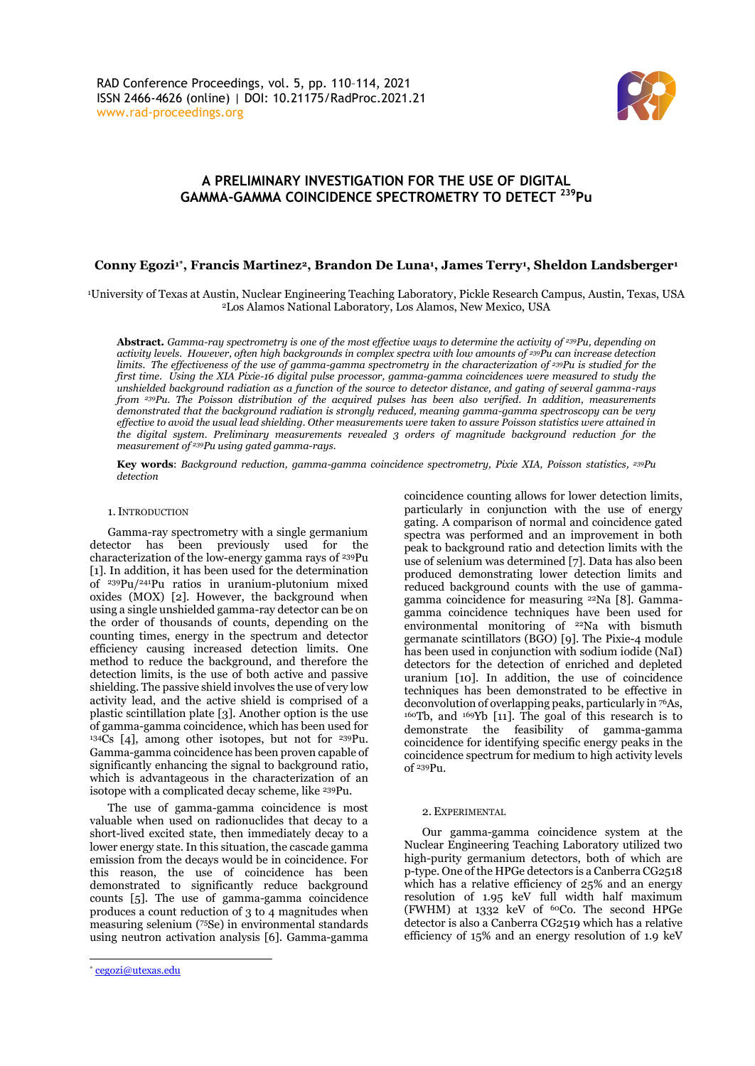

## **A PRELIMINARY INVESTIGATION FOR THE USE OF DIGITAL GAMMA-GAMMA COINCIDENCE SPECTROMETRY TO DETECT <sup>239</sup>Pu**

## **Conny Egozi1\* , Francis Martinez2, Brandon De Luna<sup>1</sup> , James Terry<sup>1</sup> , Sheldon Landsberger<sup>1</sup>**

<sup>1</sup>University of Texas at Austin, Nuclear Engineering Teaching Laboratory, Pickle Research Campus, Austin, Texas, USA <sup>2</sup>Los Alamos National Laboratory, Los Alamos, New Mexico, USA

**Abstract***. Gamma-ray spectrometry is one of the most effective ways to determine the activity of <sup>239</sup>Pu, depending on activity levels. However, often high backgrounds in complex spectra with low amounts of <sup>239</sup>Pu can increase detection limits. The effectiveness of the use of gamma-gamma spectrometry in the characterization of <sup>239</sup>Pu is studied for the first time. Using the XIA Pixie-16 digital pulse processor, gamma-gamma coincidences were measured to study the unshielded background radiation as a function of the source to detector distance, and gating of several gamma-rays from 239Pu. The Poisson distribution of the acquired pulses has been also verified. In addition, measurements demonstrated that the background radiation is strongly reduced, meaning gamma-gamma spectroscopy can be very effective to avoid the usual lead shielding. Other measurements were taken to assure Poisson statistics were attained in the digital system. Preliminary measurements revealed 3 orders of magnitude background reduction for the measurement of <sup>239</sup>Pu using gated gamma-rays.* 

**Key words**: *Background reduction, gamma-gamma coincidence spectrometry, Pixie XIA, Poisson statistics, <sup>239</sup>Pu detection*

#### 1.INTRODUCTION

Gamma-ray spectrometry with a single germanium detector has been previously used for the characterization of the low-energy gamma rays of <sup>239</sup>Pu [1]. In addition, it has been used for the determination of <sup>239</sup>Pu/<sup>241</sup>Pu ratios in uranium-plutonium mixed oxides (MOX) [2]. However, the background when using a single unshielded gamma-ray detector can be on the order of thousands of counts, depending on the counting times, energy in the spectrum and detector efficiency causing increased detection limits. One method to reduce the background, and therefore the detection limits, is the use of both active and passive shielding. The passive shield involves the use of very low activity lead, and the active shield is comprised of a plastic scintillation plate [3]. Another option is the use of gamma-gamma coincidence, which has been used for <sup>134</sup>Cs [4], among other isotopes, but not for <sup>239</sup>Pu. Gamma-gamma coincidence has been proven capable of significantly enhancing the signal to background ratio, which is advantageous in the characterization of an isotope with a complicated decay scheme, like <sup>239</sup>Pu.

The use of gamma-gamma coincidence is most valuable when used on radionuclides that decay to a short-lived excited state, then immediately decay to a lower energy state. In this situation, the cascade gamma emission from the decays would be in coincidence. For this reason, the use of coincidence has been demonstrated to significantly reduce background counts [5]. The use of gamma-gamma coincidence produces a count reduction of 3 to 4 magnitudes when measuring selenium ( <sup>75</sup>Se) in environmental standards using neutron activation analysis [6]. Gamma-gamma

coincidence counting allows for lower detection limits, particularly in conjunction with the use of energy gating. A comparison of normal and coincidence gated spectra was performed and an improvement in both peak to background ratio and detection limits with the use of selenium was determined [7]. Data has also been produced demonstrating lower detection limits and reduced background counts with the use of gammagamma coincidence for measuring <sup>22</sup>Na [8]. Gammagamma coincidence techniques have been used for environmental monitoring of <sup>22</sup>Na with bismuth germanate scintillators (BGO) [9]. The Pixie-4 module has been used in conjunction with sodium iodide (NaI) detectors for the detection of enriched and depleted uranium [10]. In addition, the use of coincidence techniques has been demonstrated to be effective in deconvolution of overlapping peaks, particularly in <sup>76</sup>As, <sup>160</sup>Tb, and <sup>169</sup>Yb [11]. The goal of this research is to demonstrate the feasibility of gamma-gamma coincidence for identifying specific energy peaks in the coincidence spectrum for medium to high activity levels of <sup>239</sup>Pu.

#### 2. EXPERIMENTAL

Our gamma-gamma coincidence system at the Nuclear Engineering Teaching Laboratory utilized two high-purity germanium detectors, both of which are p-type. One of the HPGe detectors is a Canberra CG2518 which has a relative efficiency of 25% and an energy resolution of 1.95 keV full width half maximum (FWHM) at  $1332$  keV of <sup>60</sup>Co. The second HPGe detector is also a Canberra CG2519 which has a relative efficiency of 15% and an energy resolution of 1.9 keV

<sup>\*</sup> [cegozi@utexas.edu](mailto:cegozi@utexas.edu)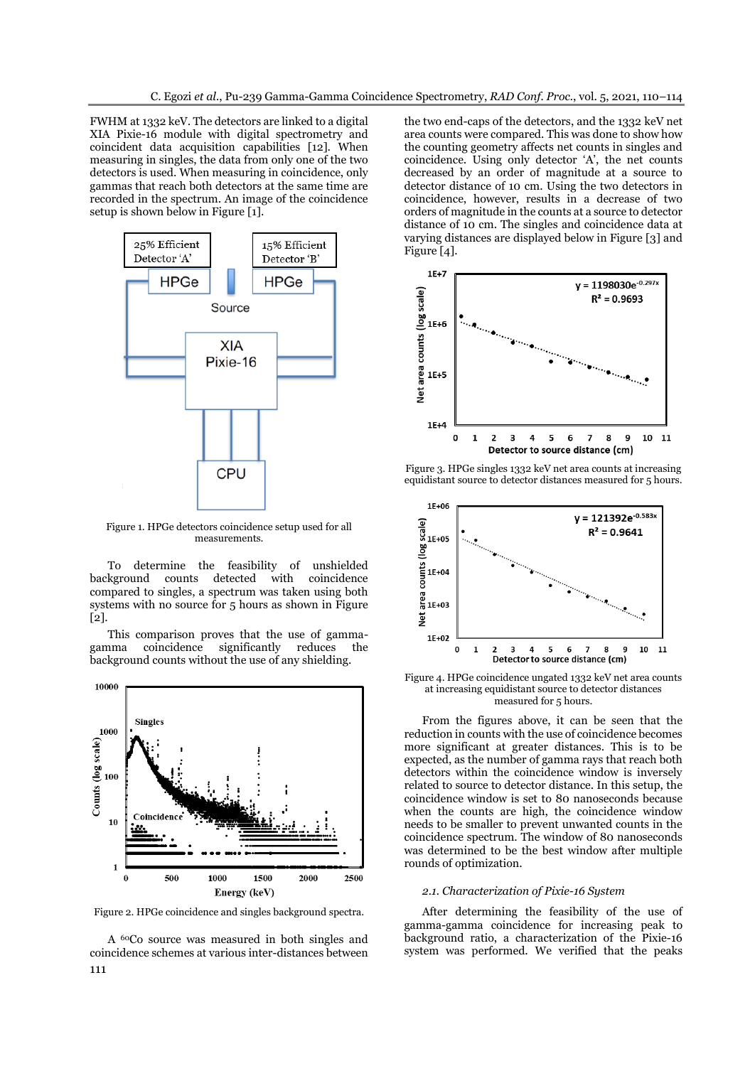FWHM at 1332 keV. The detectors are linked to a digital XIA Pixie-16 module with digital spectrometry and coincident data acquisition capabilities [12]. When measuring in singles, the data from only one of the two detectors is used. When measuring in coincidence, only gammas that reach both detectors at the same time are recorded in the spectrum. An image of the coincidence setup is shown below in Figure [1].



Figure 1. HPGe detectors coincidence setup used for all measurements.

To determine the feasibility of unshielded background counts detected with compared to singles, a spectrum was taken using both systems with no source for 5 hours as shown in Figure [2].

This comparison proves that the use of gammagamma coincidence significantly reduces the background counts without the use of any shielding.



Figure 2. HPGe coincidence and singles background spectra.

111 A <sup>60</sup>Co source was measured in both singles and coincidence schemes at various inter-distances between

the two end-caps of the detectors, and the 1332 keV net area counts were compared. This was done to show how the counting geometry affects net counts in singles and coincidence. Using only detector 'A', the net counts decreased by an order of magnitude at a source to detector distance of 10 cm. Using the two detectors in coincidence, however, results in a decrease of two orders of magnitude in the counts at a source to detector distance of 10 cm. The singles and coincidence data at varying distances are displayed below in Figure [3] and Figure [4].



Figure 3. HPGe singles 1332 keV net area counts at increasing equidistant source to detector distances measured for 5 hours.



Figure 4. HPGe coincidence ungated 1332 keV net area counts at increasing equidistant source to detector distances measured for 5 hours.

From the figures above, it can be seen that the reduction in counts with the use of coincidence becomes more significant at greater distances. This is to be expected, as the number of gamma rays that reach both detectors within the coincidence window is inversely related to source to detector distance. In this setup, the coincidence window is set to 80 nanoseconds because when the counts are high, the coincidence window needs to be smaller to prevent unwanted counts in the coincidence spectrum. The window of 80 nanoseconds was determined to be the best window after multiple rounds of optimization.

### *2.1. Characterization of Pixie-16 System*

After determining the feasibility of the use of gamma-gamma coincidence for increasing peak to background ratio, a characterization of the Pixie-16 system was performed. We verified that the peaks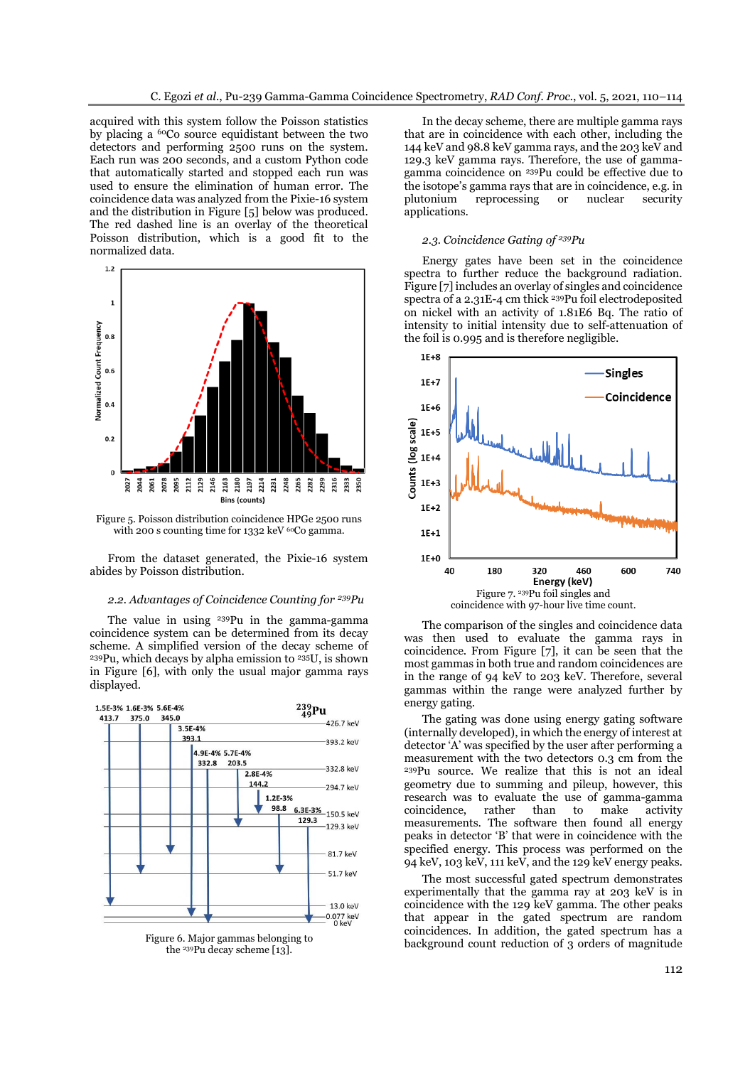acquired with this system follow the Poisson statistics by placing a <sup>60</sup>Co source equidistant between the two detectors and performing 2500 runs on the system. Each run was 200 seconds, and a custom Python code that automatically started and stopped each run was used to ensure the elimination of human error. The coincidence data was analyzed from the Pixie-16 system and the distribution in Figure [5] below was produced. The red dashed line is an overlay of the theoretical Poisson distribution, which is a good fit to the normalized data.



Figure 5. Poisson distribution coincidence HPGe 2500 runs with 200 s counting time for 1332 keV <sup>60</sup>Co gamma.

From the dataset generated, the Pixie-16 system abides by Poisson distribution.

#### *2.2. Advantages of Coincidence Counting for <sup>239</sup>Pu*

The value in using <sup>239</sup>Pu in the gamma-gamma coincidence system can be determined from its decay scheme. A simplified version of the decay scheme of <sup>239</sup>Pu, which decays by alpha emission to <sup>235</sup>U, is shown in Figure [6], with only the usual major gamma rays displayed.



Figure 6. Major gammas belonging to the <sup>239</sup>Pu decay scheme [13].

In the decay scheme, there are multiple gamma rays that are in coincidence with each other, including the 144 keV and 98.8 keV gamma rays, and the 203 keV and 129.3 keV gamma rays. Therefore, the use of gammagamma coincidence on <sup>239</sup>Pu could be effective due to the isotope's gamma rays that are in coincidence, e.g. in plutonium reprocessing or nuclear security applications.

#### *2.3. Coincidence Gating of <sup>239</sup>Pu*

Energy gates have been set in the coincidence spectra to further reduce the background radiation. Figure [7] includes an overlay of singles and coincidence spectra of a 2.31E-4 cm thick <sup>239</sup>Pu foil electrodeposited on nickel with an activity of 1.81E6 Bq. The ratio of intensity to initial intensity due to self-attenuation of the foil is 0.995 and is therefore negligible.



The comparison of the singles and coincidence data was then used to evaluate the gamma rays in coincidence. From Figure [7], it can be seen that the most gammas in both true and random coincidences are in the range of 94 keV to 203 keV. Therefore, several gammas within the range were analyzed further by energy gating.

The gating was done using energy gating software (internally developed), in which the energy of interest at detector 'A' was specified by the user after performing a measurement with the two detectors 0.3 cm from the <sup>239</sup>Pu source. We realize that this is not an ideal geometry due to summing and pileup, however, this research was to evaluate the use of gamma-gamma coincidence, rather than to make activity measurements. The software then found all energy peaks in detector 'B' that were in coincidence with the specified energy. This process was performed on the 94 keV, 103 keV, 111 keV, and the 129 keV energy peaks.

The most successful gated spectrum demonstrates experimentally that the gamma ray at 203 keV is in coincidence with the 129 keV gamma. The other peaks that appear in the gated spectrum are random coincidences. In addition, the gated spectrum has a background count reduction of 3 orders of magnitude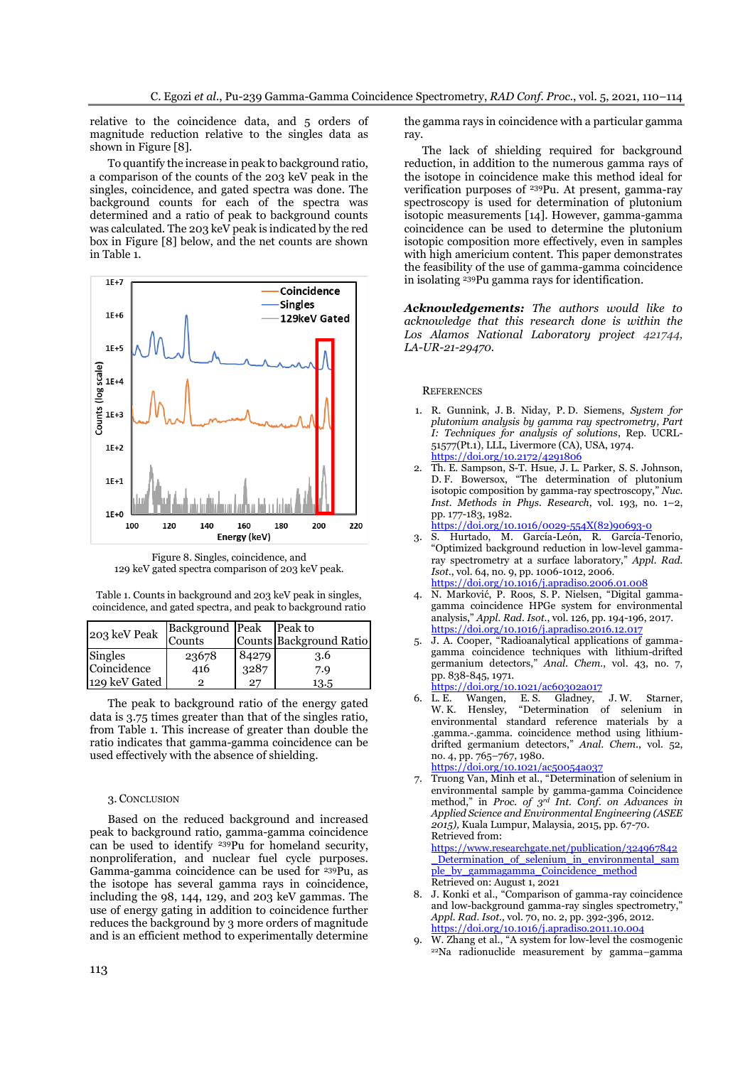relative to the coincidence data, and 5 orders of magnitude reduction relative to the singles data as shown in Figure [8].

To quantify the increase in peak to background ratio, a comparison of the counts of the 203 keV peak in the singles, coincidence, and gated spectra was done. The background counts for each of the spectra was determined and a ratio of peak to background counts was calculated. The 203 keV peak is indicated by the red box in Figure [8] below, and the net counts are shown in Table 1.



Figure 8. Singles, coincidence, and 129 keV gated spectra comparison of 203 keV peak.

| Table 1. Counts in background and 203 keV peak in singles,   |  |
|--------------------------------------------------------------|--|
| coincidence, and gated spectra, and peak to background ratio |  |

| 203 keV Peak  | <b>Background Peak</b> |       | Peak to                 |
|---------------|------------------------|-------|-------------------------|
|               | Counts                 |       | Counts Background Ratio |
| Singles       | 23678                  | 84279 | 3.6                     |
| Coincidence   | 416                    | .3287 | 7.9                     |
| 129 keV Gated |                        | 27    | 13.5                    |

The peak to background ratio of the energy gated data is 3.75 times greater than that of the singles ratio, from Table 1. This increase of greater than double the ratio indicates that gamma-gamma coincidence can be used effectively with the absence of shielding.

#### 3. CONCLUSION

Based on the reduced background and increased peak to background ratio, gamma-gamma coincidence can be used to identify <sup>239</sup>Pu for homeland security, nonproliferation, and nuclear fuel cycle purposes. Gamma-gamma coincidence can be used for <sup>239</sup>Pu, as the isotope has several gamma rays in coincidence, including the 98, 144, 129, and 203 keV gammas. The use of energy gating in addition to coincidence further reduces the background by 3 more orders of magnitude and is an efficient method to experimentally determine

the gamma rays in coincidence with a particular gamma ray.

The lack of shielding required for background reduction, in addition to the numerous gamma rays of the isotope in coincidence make this method ideal for verification purposes of <sup>239</sup>Pu. At present, gamma-ray spectroscopy is used for determination of plutonium isotopic measurements [14]. However, gamma-gamma coincidence can be used to determine the plutonium isotopic composition more effectively, even in samples with high americium content. This paper demonstrates the feasibility of the use of gamma-gamma coincidence in isolating <sup>239</sup>Pu gamma rays for identification.

*Acknowledgements: The authors would like to acknowledge that this research done is within the Los Alamos National Laboratory project 421744, LA-UR-21-29470.*

#### **REFERENCES**

- 1. R. Gunnink, J. B. Niday, P. D. Siemens, *System for plutonium analysis by gamma ray spectrometry, Part I: Techniques for analysis of solutions*, Rep. UCRL-51577(Pt.1), LLL, Livermore (CA), USA, 1974. <https://doi.org/10.2172/4291806>
- 2. Th. E. Sampson, S-T. Hsue, J. L. Parker, S. S. Johnson, D. F. Bowersox, "The determination of plutonium isotopic composition by gamma-ray spectroscopy," *Nuc. Inst. Methods in Phys. Research*, vol. 193, no. 1–2, pp. 177-183, 1982.

[https://doi.org/10.1016/0029-554X\(82\)90693-0](https://doi.org/10.1016/0029-554X(82)90693-0)

- 3. S. Hurtado, M. García-León, R. García-Tenorio, "Optimized background reduction in low-level gammaray spectrometry at a surface laboratory," *Appl. Rad. Isot.*, vol. 64, no. 9, pp. 1006-1012, 2006. <https://doi.org/10.1016/j.apradiso.2006.01.008>
- 4. N. Marković, P. Roos, S. P. Nielsen, "Digital gammagamma coincidence HPGe system for environmental analysis," *Appl. Rad. Isot*., vol. 126, pp. 194-196, 2017. <https://doi.org/10.1016/j.apradiso.2016.12.017>
- 5. J. A. Cooper, "Radioanalytical applications of gammagamma coincidence techniques with lithium-drifted germanium detectors," *Anal. Chem*., vol. 43, no. 7, pp. 838-845, 1971.

# <https://doi.org/10.1021/ac60302a017><br>L. E. Wangen, E. S. Gladney,

6. L. E. Wangen, E. S. Gladney, J. W. Starner, W. K. Hensley, "Determination of selenium in environmental standard reference materials by a .gamma.-.gamma. coincidence method using lithiumdrifted germanium detectors," *Anal. Chem.*, vol. 52, no. 4, pp. 765–767, 1980.

<https://doi.org/10.1021/ac50054a037>

7. Truong Van, Minh et al., "Determination of selenium in environmental sample by gamma-gamma Coincidence method," in *Proc. of 3rd Int. Conf. on Advances in Applied Science and Environmental Engineering (ASEE 2015),* Kuala Lumpur, Malaysia, 2015, pp. 67-70. Retrieved from:

[https://www.researchgate.net/publication/324967842](https://www.researchgate.net/publication/324967842_Determination_of_selenium_in_environmental_sample_by_gammagamma_Coincidence_method) Determination of selenium in environmental sam [ple\\_by\\_gammagamma\\_Coincidence\\_method](https://www.researchgate.net/publication/324967842_Determination_of_selenium_in_environmental_sample_by_gammagamma_Coincidence_method) Retrieved on: August 1, 2021

- 8. J. Konki et al., "Comparison of gamma-ray coincidence and low-background gamma-ray singles spectrometry, *Appl. Rad. Isot.,* vol. 70, no. 2, pp. 392-396, 2012. <https://doi.org/10.1016/j.apradiso.2011.10.004>
- 9. W. Zhang et al., "A system for low-level the cosmogenic 22Na radionuclide measurement by gamma–gamma